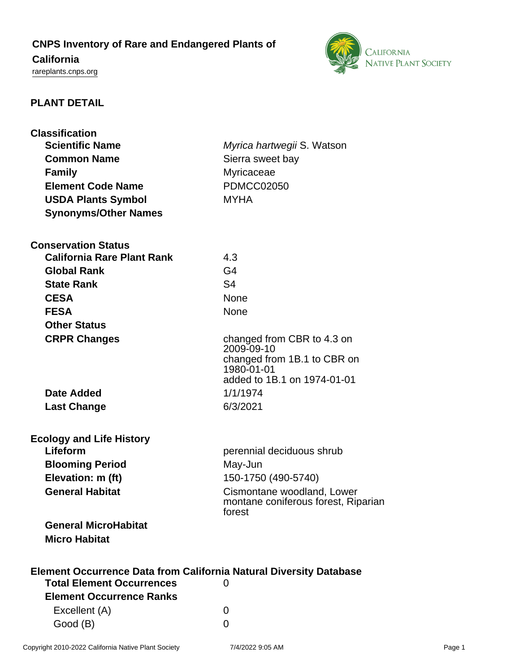# **CNPS Inventory of Rare and Endangered Plants of**

## **California**

<rareplants.cnps.org>



### **PLANT DETAIL**

| <b>Classification</b>                                                     |                                                                                                                      |
|---------------------------------------------------------------------------|----------------------------------------------------------------------------------------------------------------------|
| <b>Scientific Name</b>                                                    | Myrica hartwegii S. Watson                                                                                           |
| <b>Common Name</b>                                                        | Sierra sweet bay                                                                                                     |
| <b>Family</b>                                                             | Myricaceae                                                                                                           |
| <b>Element Code Name</b>                                                  | <b>PDMCC02050</b>                                                                                                    |
| <b>USDA Plants Symbol</b>                                                 | <b>MYHA</b>                                                                                                          |
| <b>Synonyms/Other Names</b>                                               |                                                                                                                      |
| <b>Conservation Status</b>                                                |                                                                                                                      |
| <b>California Rare Plant Rank</b>                                         | 4.3                                                                                                                  |
| <b>Global Rank</b>                                                        | G <sub>4</sub>                                                                                                       |
| <b>State Rank</b>                                                         | S <sub>4</sub>                                                                                                       |
| <b>CESA</b>                                                               | <b>None</b>                                                                                                          |
| <b>FESA</b>                                                               | None                                                                                                                 |
| <b>Other Status</b>                                                       |                                                                                                                      |
| <b>CRPR Changes</b>                                                       | changed from CBR to 4.3 on<br>2009-09-10<br>changed from 1B.1 to CBR on<br>1980-01-01<br>added to 1B.1 on 1974-01-01 |
| <b>Date Added</b>                                                         | 1/1/1974                                                                                                             |
| <b>Last Change</b>                                                        | 6/3/2021                                                                                                             |
| <b>Ecology and Life History</b>                                           |                                                                                                                      |
| Lifeform                                                                  | perennial deciduous shrub                                                                                            |
| <b>Blooming Period</b>                                                    | May-Jun                                                                                                              |
| Elevation: m (ft)                                                         | 150-1750 (490-5740)                                                                                                  |
| <b>General Habitat</b>                                                    | Cismontane woodland, Lower<br>montane coniferous forest, Riparian<br>forest                                          |
| <b>General MicroHabitat</b>                                               |                                                                                                                      |
| <b>Micro Habitat</b>                                                      |                                                                                                                      |
| <b>Element Occurrence Data from California Natural Diversity Database</b> |                                                                                                                      |
| <b>Total Element Occurrences</b>                                          | 0                                                                                                                    |
| <b>Element Occurrence Ranks</b>                                           |                                                                                                                      |
| Excellent (A)                                                             | 0                                                                                                                    |

Good (B) and the control of the control of the control of the control of the control of the control of the control of the control of the control of the control of the control of the control of the control of the control of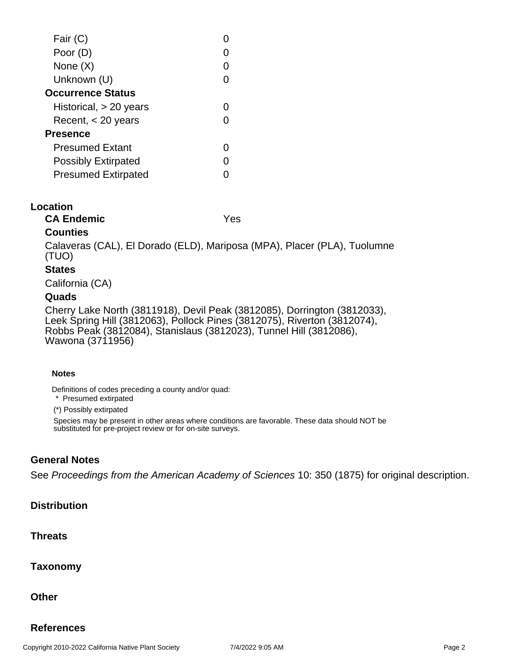| Fair (C)                   |  |
|----------------------------|--|
| Poor (D)                   |  |
| None (X)                   |  |
| Unknown (U)                |  |
| <b>Occurrence Status</b>   |  |
| Historical, $> 20$ years   |  |
| Recent, $<$ 20 years       |  |
| <b>Presence</b>            |  |
| <b>Presumed Extant</b>     |  |
| <b>Possibly Extirpated</b> |  |
| <b>Presumed Extirpated</b> |  |
|                            |  |

#### **Location**

**CA Endemic** Yes

#### **Counties**

Calaveras (CAL), El Dorado (ELD), Mariposa (MPA), Placer (PLA), Tuolumne (TUO)

#### **States**

California (CA)

#### **Quads**

Cherry Lake North (3811918), Devil Peak (3812085), Dorrington (3812033), Leek Spring Hill (3812063), Pollock Pines (3812075), Riverton (3812074), Robbs Peak (3812084), Stanislaus (3812023), Tunnel Hill (3812086), Wawona (3711956)

#### **Notes**

Definitions of codes preceding a county and/or quad:

\* Presumed extirpated

(\*) Possibly extirpated

Species may be present in other areas where conditions are favorable. These data should NOT be substituted for pre-project review or for on-site surveys.

#### **General Notes**

See Proceedings from the American Academy of Sciences 10: 350 (1875) for original description.

#### **Distribution**

#### **Threats**

**Taxonomy**

**Other**

#### **References**